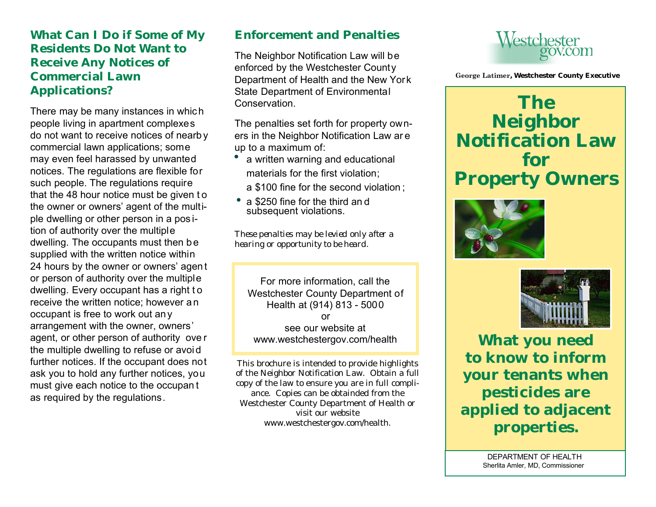### **What Can I Do if Some of My Residents Do Not Want to Receive Any Notices of Commercial Lawn Applications?**

There may be many instances in whic h people living in apartment complexes do not want to receive notices of nearb y commercial lawn applications; some may even feel harassed by unwanted notices. The regulations are flexible for such people. The regulations require that the 48 hour notice must be given to the owner or owners' agent of the multiple dwelling or other person in a pos ition of authority over the multiple dwelling. The occupants must then be supplied with the written notice within 24 hours by the owner or owners' agent or person of authority over the multiple dwelling. Every occupant has a right to receive the written notice; however an occupant is free to work out an y arrangement with the owner, owners' agent, or other person of authority ove r the multiple dwelling to refuse or avoi d further notices. If the occupant does not ask you to hold any further notices, you must give each notice to the occupan t as required by the regulations.

## **Enforcement and Penalties**

The Neighbor Notification Law will be enforced by the Westchester County Department of Health and the New York State Department of Environmental Conservation.

The penalties set forth for property owners in the Neighbor Notification Law ar e up to a maximum of:

- a written warning and educational materials for the first violation; a \$100 fine for the second violation ; •
- a \$250 fine for the third and subsequent violations.

*These penalties may be levied only after a hearing or opportunity to be heard.*

For more information, call the Westchester County Department of Health at (914) 813 - 5000 or see our website at www.westchestergov.com/health

This brochure is intended to provide highlights of the Neighbor Notification Law. Obtain a full copy of the law to ensure you are in full compliance. Copies can be obtainded from the Westchester County Department of Health or visit our website www.westchestergov.com/health.



 **George Latimer, Westchester County Executive**

**The Neighbor Notification Law for Property Owners**





**What you need to know to inform your tenants when pesticides are applied to adjacent properties.**